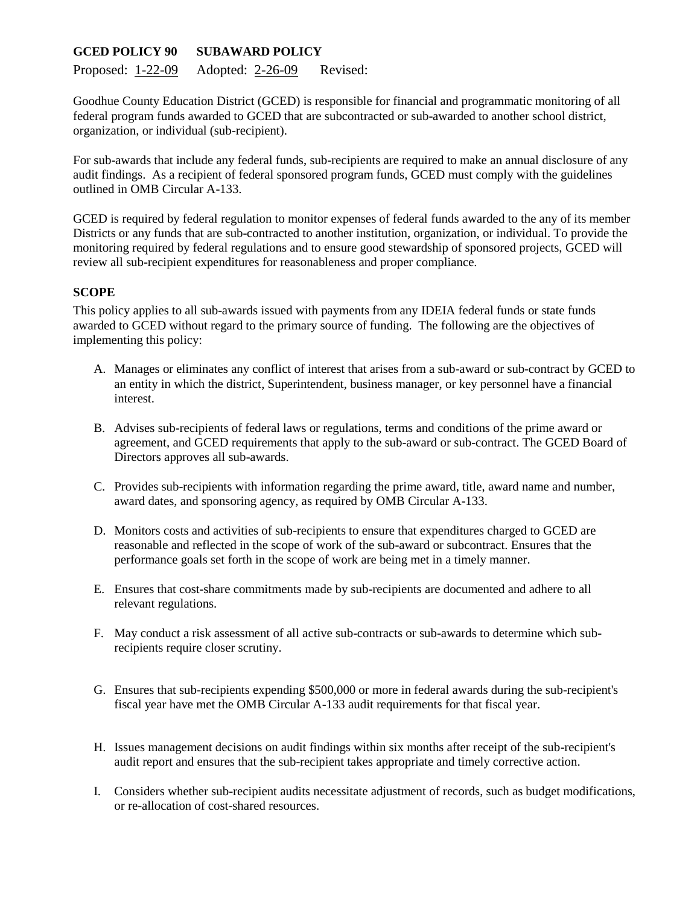## **GCED POLICY 90 SUBAWARD POLICY**

Proposed: 1-22-09 Adopted: 2-26-09 Revised:

Goodhue County Education District (GCED) is responsible for financial and programmatic monitoring of all federal program funds awarded to GCED that are subcontracted or sub-awarded to another school district, organization, or individual (sub-recipient).

For sub-awards that include any federal funds, sub-recipients are required to make an annual disclosure of any audit findings. As a recipient of federal sponsored program funds, GCED must comply with the guidelines outlined in OMB Circular A-133.

GCED is required by federal regulation to monitor expenses of federal funds awarded to the any of its member Districts or any funds that are sub-contracted to another institution, organization, or individual. To provide the monitoring required by federal regulations and to ensure good stewardship of sponsored projects, GCED will review all sub-recipient expenditures for reasonableness and proper compliance.

## **SCOPE**

This policy applies to all sub-awards issued with payments from any IDEIA federal funds or state funds awarded to GCED without regard to the primary source of funding. The following are the objectives of implementing this policy:

- A. Manages or eliminates any conflict of interest that arises from a sub-award or sub-contract by GCED to an entity in which the district, Superintendent, business manager, or key personnel have a financial interest.
- B. Advises sub-recipients of federal laws or regulations, terms and conditions of the prime award or agreement, and GCED requirements that apply to the sub-award or sub-contract. The GCED Board of Directors approves all sub-awards.
- C. Provides sub-recipients with information regarding the prime award, title, award name and number, award dates, and sponsoring agency, as required by OMB Circular A-133.
- D. Monitors costs and activities of sub-recipients to ensure that expenditures charged to GCED are reasonable and reflected in the scope of work of the sub-award or subcontract. Ensures that the performance goals set forth in the scope of work are being met in a timely manner.
- E. Ensures that cost-share commitments made by sub-recipients are documented and adhere to all relevant regulations.
- F. May conduct a risk assessment of all active sub-contracts or sub-awards to determine which subrecipients require closer scrutiny.
- G. Ensures that sub-recipients expending \$500,000 or more in federal awards during the sub-recipient's fiscal year have met the OMB Circular A-133 audit requirements for that fiscal year.
- H. Issues management decisions on audit findings within six months after receipt of the sub-recipient's audit report and ensures that the sub-recipient takes appropriate and timely corrective action.
- I. Considers whether sub-recipient audits necessitate adjustment of records, such as budget modifications, or re-allocation of cost-shared resources.